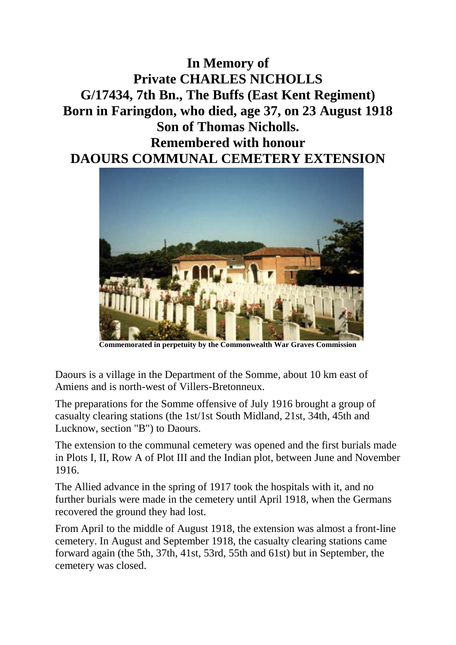**In Memory of Private CHARLES NICHOLLS G/17434, 7th Bn., The Buffs (East Kent Regiment) Born in Faringdon, who died, age 37, on 23 August 1918 Son of Thomas Nicholls. Remembered with honour DAOURS COMMUNAL CEMETERY EXTENSION**



**Commemorated in perpetuity by the Commonwealth War Graves Commission** 

Daours is a village in the Department of the Somme, about 10 km east of Amiens and is north-west of Villers-Bretonneux.

The preparations for the Somme offensive of July 1916 brought a group of casualty clearing stations (the 1st/1st South Midland, 21st, 34th, 45th and Lucknow, section "B") to Daours.

The extension to the communal cemetery was opened and the first burials made in Plots I, II, Row A of Plot III and the Indian plot, between June and November 1916.

The Allied advance in the spring of 1917 took the hospitals with it, and no further burials were made in the cemetery until April 1918, when the Germans recovered the ground they had lost.

From April to the middle of August 1918, the extension was almost a front-line cemetery. In August and September 1918, the casualty clearing stations came forward again (the 5th, 37th, 41st, 53rd, 55th and 61st) but in September, the cemetery was closed.